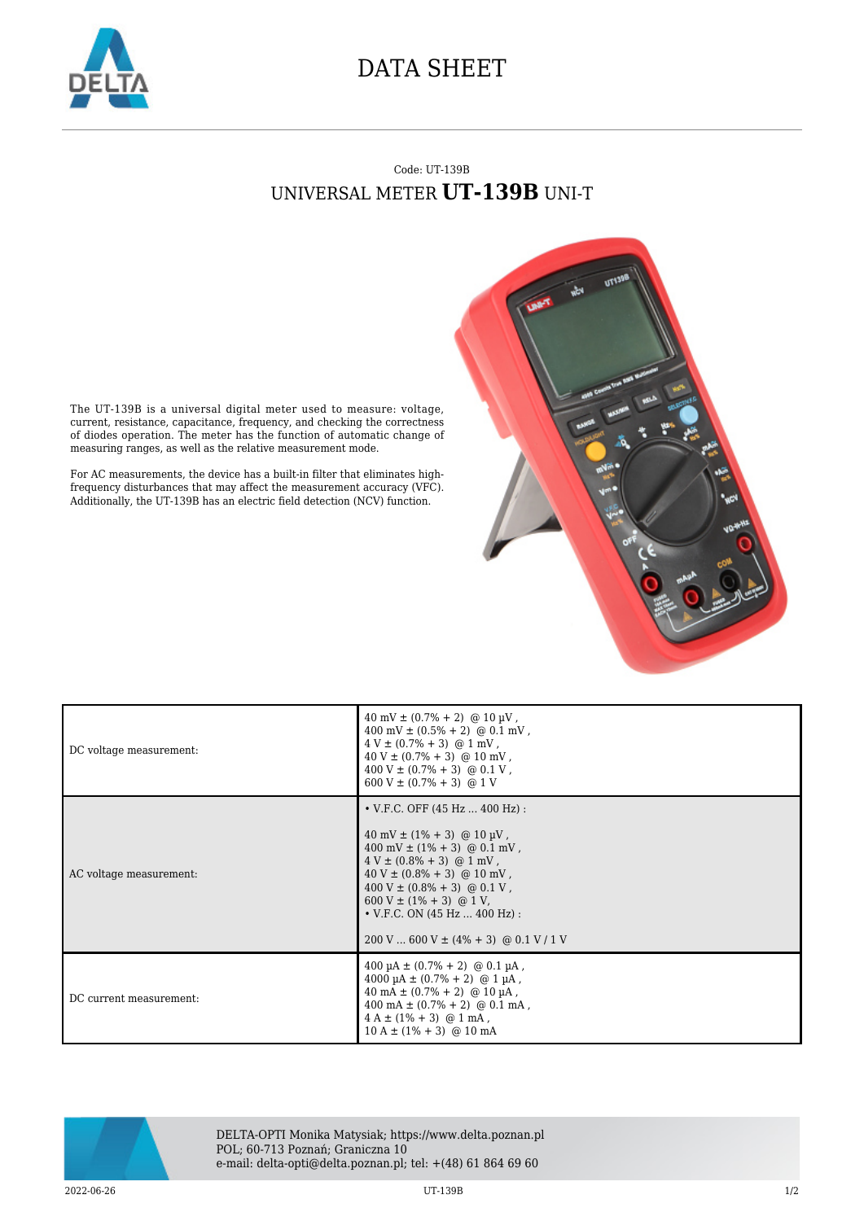

## DATA SHEET

## Code: UT-139B UNIVERSAL METER **UT-139B** UNI-T



The UT-139B is a universal digital meter used to measure: voltage, current, resistance, capacitance, frequency, and checking the correctness of diodes operation. The meter has the function of automatic change of measuring ranges, as well as the relative measurement mode.

For AC measurements, the device has a built-in filter that eliminates highfrequency disturbances that may affect the measurement accuracy (VFC). Additionally, the UT-139B has an electric field detection (NCV) function.

| DC voltage measurement: | $40 \text{ mV} \pm (0.7\% + 2)$ @ 10 µV,<br>$400 \text{ mV} \pm (0.5\% + 2) \text{ @ } 0.1 \text{ mV}$ ,<br>$4 V \pm (0.7\% + 3)$ @ 1 mV,<br>$40 V \pm (0.7\% + 3)$ @ 10 mV,<br>$400 V \pm (0.7\% + 3) \text{ @ } 0.1 V$ ,<br>$600 V \pm (0.7\% + 3)$ @ 1 V                                                                                                                                             |
|-------------------------|---------------------------------------------------------------------------------------------------------------------------------------------------------------------------------------------------------------------------------------------------------------------------------------------------------------------------------------------------------------------------------------------------------|
| AC voltage measurement: | • V.F.C. OFF $(45 Hz  400 Hz)$ :<br>$40 \text{ mV} \pm (1\% + 3) \text{ @ } 10 \text{ \mu V}$ ,<br>$400 \text{ mV} \pm (1\% + 3) \text{ @ } 0.1 \text{ mV}$ ,<br>$4 V \pm (0.8\% + 3)$ @ 1 mV,<br>$40 V \pm (0.8\% + 3)$ @ 10 mV,<br>$400 V \pm (0.8\% + 3)$ @ 0.1 V,<br>$600 V \pm (1\% + 3)$ @ 1 V,<br>• V.F.C. ON $(45 \text{ Hz}  400 \text{ Hz})$ :<br>$200$ V  600 V $\pm$ (4% + 3) @ 0.1 V / 1 V |
| DC current measurement: | $400 \mu A \pm (0.7\% + 2)$ @ 0.1 $\mu A$ ,<br>$4000 \mu A \pm (0.7\% + 2)$ @ 1 $\mu A$ ,<br>$40 \text{ mA} \pm (0.7\% + 2)$ @ 10 µA,<br>$400 \text{ mA} \pm (0.7\% + 2) \text{ @ } 0.1 \text{ mA}$ .<br>$4 A \pm (1\% + 3)$ @ 1 mA,<br>$10 A \pm (1\% + 3)$ @ 10 mA                                                                                                                                    |



DELTA-OPTI Monika Matysiak; https://www.delta.poznan.pl POL; 60-713 Poznań; Graniczna 10 e-mail: delta-opti@delta.poznan.pl; tel: +(48) 61 864 69 60